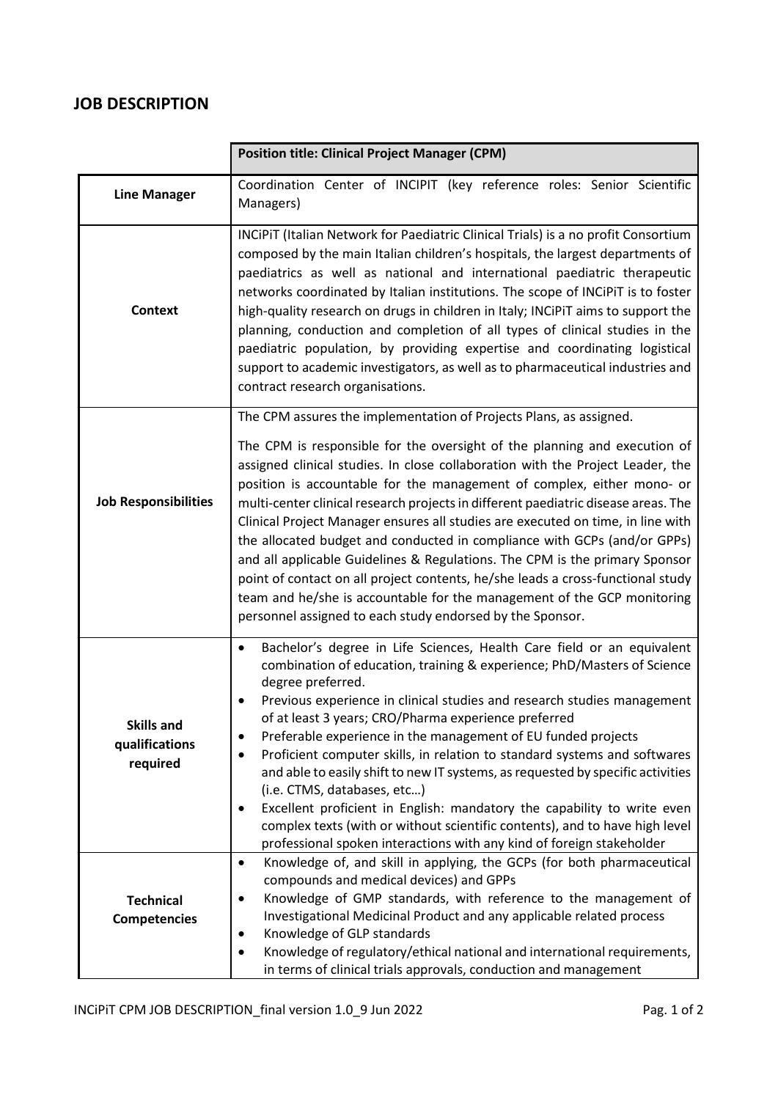## **JOB DESCRIPTION**

|                                                 | <b>Position title: Clinical Project Manager (CPM)</b>                                                                                                                                                                                                                                                                                                                                                                                                                                                                                                                                                                                                                                                                                                                                                                                                                      |
|-------------------------------------------------|----------------------------------------------------------------------------------------------------------------------------------------------------------------------------------------------------------------------------------------------------------------------------------------------------------------------------------------------------------------------------------------------------------------------------------------------------------------------------------------------------------------------------------------------------------------------------------------------------------------------------------------------------------------------------------------------------------------------------------------------------------------------------------------------------------------------------------------------------------------------------|
| <b>Line Manager</b>                             | Coordination Center of INCIPIT (key reference roles: Senior Scientific<br>Managers)                                                                                                                                                                                                                                                                                                                                                                                                                                                                                                                                                                                                                                                                                                                                                                                        |
| <b>Context</b>                                  | INCIPIT (Italian Network for Paediatric Clinical Trials) is a no profit Consortium<br>composed by the main Italian children's hospitals, the largest departments of<br>paediatrics as well as national and international paediatric therapeutic<br>networks coordinated by Italian institutions. The scope of INCiPiT is to foster<br>high-quality research on drugs in children in Italy; INCiPiT aims to support the<br>planning, conduction and completion of all types of clinical studies in the<br>paediatric population, by providing expertise and coordinating logistical<br>support to academic investigators, as well as to pharmaceutical industries and<br>contract research organisations.                                                                                                                                                                   |
| <b>Job Responsibilities</b>                     | The CPM assures the implementation of Projects Plans, as assigned.<br>The CPM is responsible for the oversight of the planning and execution of<br>assigned clinical studies. In close collaboration with the Project Leader, the<br>position is accountable for the management of complex, either mono- or<br>multi-center clinical research projects in different paediatric disease areas. The<br>Clinical Project Manager ensures all studies are executed on time, in line with<br>the allocated budget and conducted in compliance with GCPs (and/or GPPs)<br>and all applicable Guidelines & Regulations. The CPM is the primary Sponsor<br>point of contact on all project contents, he/she leads a cross-functional study<br>team and he/she is accountable for the management of the GCP monitoring<br>personnel assigned to each study endorsed by the Sponsor. |
| <b>Skills and</b><br>qualifications<br>required | Bachelor's degree in Life Sciences, Health Care field or an equivalent<br>$\bullet$<br>combination of education, training & experience; PhD/Masters of Science<br>degree preferred.<br>Previous experience in clinical studies and research studies management<br>of at least 3 years; CRO/Pharma experience preferred<br>Preferable experience in the management of EU funded projects<br>Proficient computer skills, in relation to standard systems and softwares<br>and able to easily shift to new IT systems, as requested by specific activities<br>(i.e. CTMS, databases, etc)<br>Excellent proficient in English: mandatory the capability to write even<br>complex texts (with or without scientific contents), and to have high level<br>professional spoken interactions with any kind of foreign stakeholder                                                  |
| <b>Technical</b><br><b>Competencies</b>         | Knowledge of, and skill in applying, the GCPs (for both pharmaceutical<br>$\bullet$<br>compounds and medical devices) and GPPs<br>Knowledge of GMP standards, with reference to the management of<br>$\bullet$<br>Investigational Medicinal Product and any applicable related process<br>Knowledge of GLP standards<br>Knowledge of regulatory/ethical national and international requirements,<br>in terms of clinical trials approvals, conduction and management                                                                                                                                                                                                                                                                                                                                                                                                       |